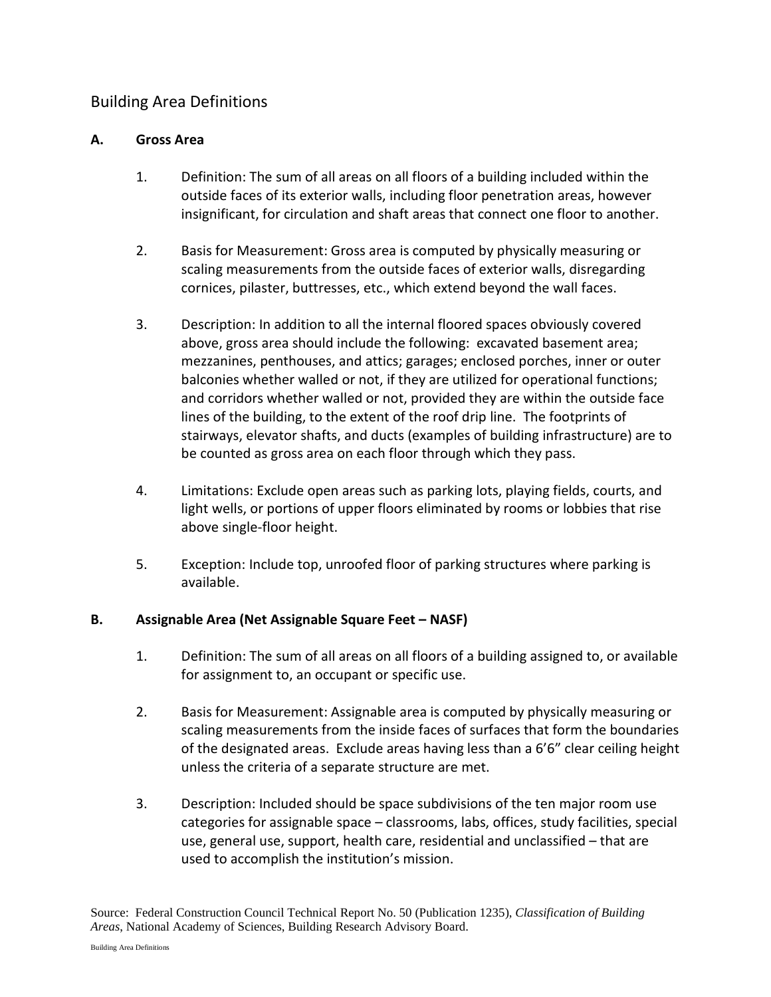# Building Area Definitions

## **A. Gross Area**

- 1. Definition: The sum of all areas on all floors of a building included within the outside faces of its exterior walls, including floor penetration areas, however insignificant, for circulation and shaft areas that connect one floor to another.
- 2. Basis for Measurement: Gross area is computed by physically measuring or scaling measurements from the outside faces of exterior walls, disregarding cornices, pilaster, buttresses, etc., which extend beyond the wall faces.
- 3. Description: In addition to all the internal floored spaces obviously covered above, gross area should include the following: excavated basement area; mezzanines, penthouses, and attics; garages; enclosed porches, inner or outer balconies whether walled or not, if they are utilized for operational functions; and corridors whether walled or not, provided they are within the outside face lines of the building, to the extent of the roof drip line. The footprints of stairways, elevator shafts, and ducts (examples of building infrastructure) are to be counted as gross area on each floor through which they pass.
- 4. Limitations: Exclude open areas such as parking lots, playing fields, courts, and light wells, or portions of upper floors eliminated by rooms or lobbies that rise above single-floor height.
- 5. Exception: Include top, unroofed floor of parking structures where parking is available.

## **B. Assignable Area (Net Assignable Square Feet – NASF)**

- 1. Definition: The sum of all areas on all floors of a building assigned to, or available for assignment to, an occupant or specific use.
- 2. Basis for Measurement: Assignable area is computed by physically measuring or scaling measurements from the inside faces of surfaces that form the boundaries of the designated areas. Exclude areas having less than a 6'6" clear ceiling height unless the criteria of a separate structure are met.
- 3. Description: Included should be space subdivisions of the ten major room use categories for assignable space – classrooms, labs, offices, study facilities, special use, general use, support, health care, residential and unclassified – that are used to accomplish the institution's mission.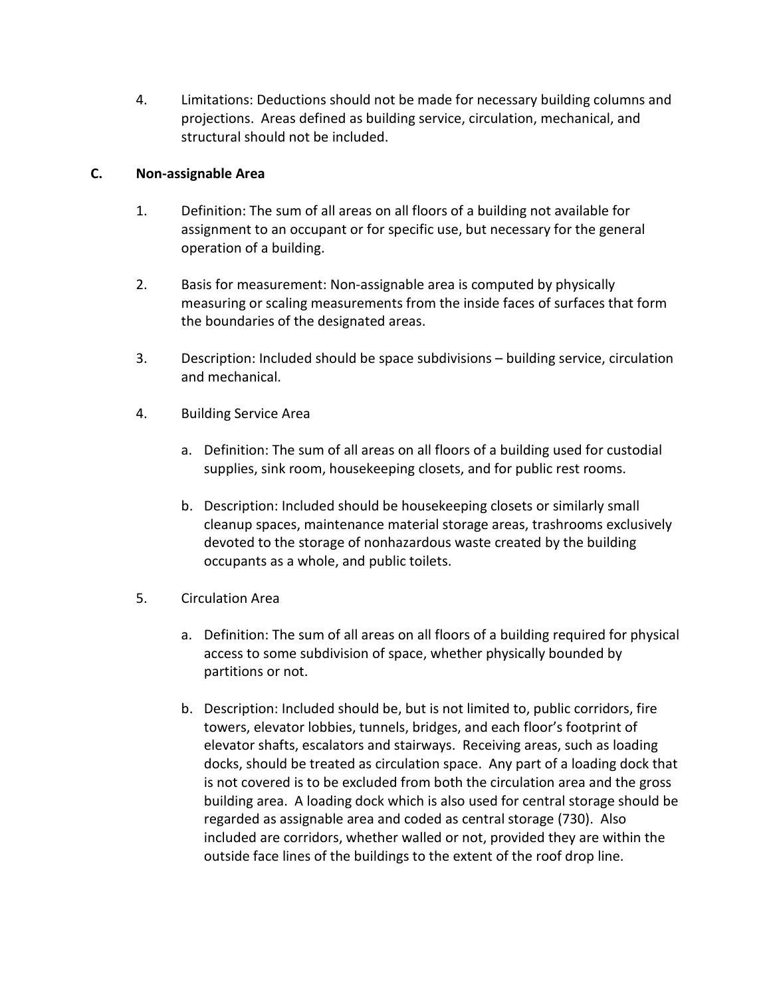4. Limitations: Deductions should not be made for necessary building columns and projections. Areas defined as building service, circulation, mechanical, and structural should not be included.

## **C. Non-assignable Area**

- 1. Definition: The sum of all areas on all floors of a building not available for assignment to an occupant or for specific use, but necessary for the general operation of a building.
- 2. Basis for measurement: Non-assignable area is computed by physically measuring or scaling measurements from the inside faces of surfaces that form the boundaries of the designated areas.
- 3. Description: Included should be space subdivisions building service, circulation and mechanical.
- 4. Building Service Area
	- a. Definition: The sum of all areas on all floors of a building used for custodial supplies, sink room, housekeeping closets, and for public rest rooms.
	- b. Description: Included should be housekeeping closets or similarly small cleanup spaces, maintenance material storage areas, trashrooms exclusively devoted to the storage of nonhazardous waste created by the building occupants as a whole, and public toilets.
- 5. Circulation Area
	- a. Definition: The sum of all areas on all floors of a building required for physical access to some subdivision of space, whether physically bounded by partitions or not.
	- b. Description: Included should be, but is not limited to, public corridors, fire towers, elevator lobbies, tunnels, bridges, and each floor's footprint of elevator shafts, escalators and stairways. Receiving areas, such as loading docks, should be treated as circulation space. Any part of a loading dock that is not covered is to be excluded from both the circulation area and the gross building area. A loading dock which is also used for central storage should be regarded as assignable area and coded as central storage (730). Also included are corridors, whether walled or not, provided they are within the outside face lines of the buildings to the extent of the roof drop line.